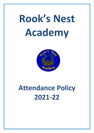# **Rook's Nest Academy**



# **Attendance Policy 2021-22**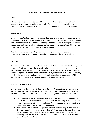## **ROOK'S NEST ACADEMY ATTENDANCE POLICY**

## **AIM**

There is a direct correlation between Attendance and Attainment. The aim of Rook's Nest Academy's Attendance Policy is to raise levels of attendance and punctuality for children and young people, therefore maximising their opportunities for improved attainment.

# **OBJECTIVES**

At Rook's Nest Academy we want to reduce absence and lateness, and raise awareness of the importance of Academy attendance. We believe that all Academy staff, parents, pupils and Governors should be included in Academy Attendance Matters strategies. We have a robust electronic data handling system, enabling Academy staff, the LA and DfE to access statistical data in order to work effectively in partnership.

We aim to work effectively with parents/carers and partner agencies, using a range of strategies to improve the attendance of individual pupils and the whole Academy.

#### **THE LAW**

Section 444 of the 1996 Education Act states that if a child of compulsory Academy age fails to attend Academy regularly the parent is guilty of an offence. Parents, therefore have a legal responsibility to ensure their child's Academy attendance. Failure can lead to legal action being taken by the LA in the Magistrates Court, or the need to issue a Fixed Penalty Notice where a parent **knowingly** allows their child to be absent from Academy. This offence can carry a fine or a custodial sentence for repeated offending*.*

# **ABSENCE FROM ACADEMY**

Any absence from the Academy is detrimental to a child's education and progress as it disrupts learning, routines and progress. Government research shows that 17 days lost learning in one Academy year can lead to a drop of one grade at GCSE and SAT level.

- Parents are expected to telephone the Academy on the first day of absence and inform the Academy of the reason for their child not attending. A message can be left on the Academy's 24 hr answerphone. (We request details are given so this can be recorded, unwell, or ill is not sufficient details.)
- The Academy will follow up unexplained absences by contacting parents/carers by 9.30 am on the first day of absence. In line with the Academy Safeguarding policy, we ask that all parents where possible provide an alternative contact number. If the Academy have not heard from parents with reasons for absence the alternative contact, number will be used.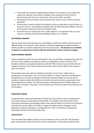- In line with the academy safeguarding procedures if no contact can be made with reasons for absence, the inclusion manager and a member of the SLT and /or pastoral team will carry out a home visit. Home visits will be recorded.
- The police/social care direct may be phoned with concerns over a child "missing in education".
- Parents/carers may be invited into Academy to discuss attendance issues if there is a cause for concern. The Academy will agree with the EWS (Education Welfare Service) at what point a referral to the Service will be made.
- If we feel that, the reason given for a child's absence is not genuine then you may receive a visit from the Educational Welfare Officer on our behalf.

# **AUTHORISED ABSENCE**

We are aware that some absences are unavoidable, usually due to illness, bereavement or difficult family circumstances. These absences should be supported by medical evidence where possible or a written explanation from the parent/carer. **The decision as to whether an absence is authorised or not lies with the Head teacher and/or Inclusion manager.**

#### **UNAUTHORISED ABSENCE**

These are absences which are not permissible in Law, e.g. birthdays, shopping trips, days out and Term Time Holidays, and absences where no explanation has been received. The Academy will discuss unauthorised absence with the EWS. Parents may be invited into the Academy to discuss their child's absence and further action may be taken if the situation does not improve.

The Academy does not authorise holidays to be taken in term time. Pupils have an entitlement to an education, not a term time holiday. If a child is reported as being absent through illness in the days preceding or following a planned holiday we may ask you to provide an address where the child can be visited to ensure that they are genuinely ill and not already/still on holiday. The EWS will impose a fixed penalty fine if holiday absence is longer than 5 full days, 10 sessions. This fine will be per child and is paid to the authority not the Academy.

#### **PERSISTENT ABSENT**

A pupil becomes a persistent absentee if he/she has missed 10% or more of Academy for any reason and has an attendance of below 90%. The Academy will send a letter home informing of attendance percentages and/or invite parents/carers in to discuss the situation, and referrals may be made to the EWS. A range of Academy and LA strategies can be deployed to improve attendance, including the Fast Track to Attendance programme, Parenting Contracts and Fixed Penalty Fines.

# **PUNCTUALITY**

The Law states that children should arrive at Academy on time, every day. The Academy gates open between 8:30 and 8:45 am and the expectation is that pupils should be there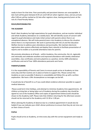ready to learn for that time. Poor punctuality and persistent lateness are unacceptable. A late mark will be given between 8:45 am and 9.00 am when registers close, and any arrivals after 9.00 am will be marked as (U) late after registers close, leaving parents/carers at the risk of a Fixed Penalty Notice.

#### **ROLES/RESPONSIBILITIES**

#### **THE ACADEMY**

Rook's Nest Academy has high expectations for pupil attendance, and we monitor individual and whole Academy attendance on a weekly basis. We will identify causes of concern with regard to pupil attendance and make initial contact with parents where there is an unexplained absence. We will invite parents/carers into Academy to discuss the situation where there is no improvement. We work in partnership with the LA and the Education Welfare Service to address poor attendance and punctuality. We maintain electronic registration data systems effectively and deploy them robustly to facilitate presentation of reports and to enable us to provide attendance data for parents.

We promote attendance at all levels – within Academy, the community, the LA, regionally and nationally and celebrate excellent and improved attendance with weekly celebration assemblies, class certificates and extra playtime as a positive, termly 100% attendance certificates and end of Year 100% attendance postcards sent home.

#### **PARENTS/CARERS**

It is the responsibility of Parents and Carers to ensure pupils arrive at Academy on time every day and that routines are in place at home to support this. Please contact the Academy as soon as possible if absence is unavoidable and follow this up with a written explanation. We have a 24hr Answerphone so messages can be left.

It would also be of benefit to us if you could obtain evidence wherever possible to support medical absences.

Please avoid term time holidays, and attempt to minimise Academy time appointments. All children arriving late or being taken out of Academy during the academic day should be signed in/ out at the Academy Office and copies of appointment letters/cards should be shown to the Academy staff. Please note that children returning for the afternoon session should not be returned to the Academy until 12:30 or 1.00 pm.

When advising the Academy of absence due to a medical appointment it would also be helpful if you can indicate your child's dinner preference to ensure that they do not miss out on their choice of lunch.

#### **PUPILS**

Pupils should arrive at Academy, on time every day with the correct equipment and ready to learn.